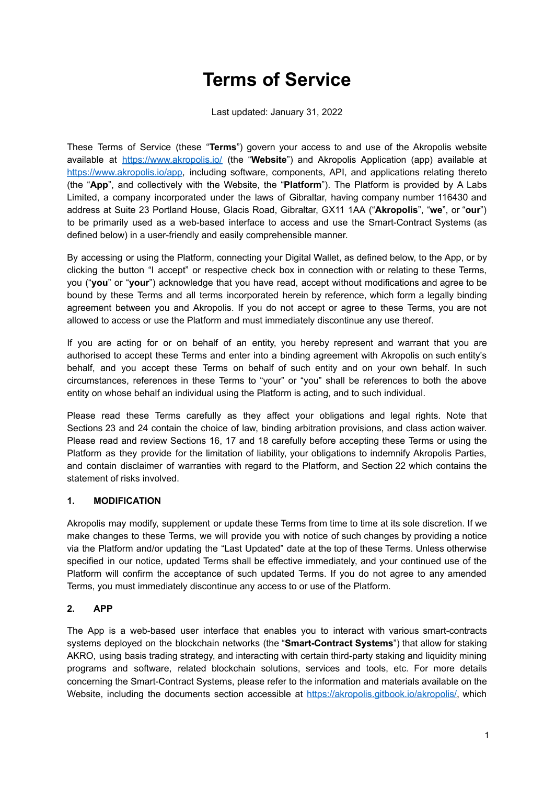# **Terms of Service**

Last updated: January 31, 2022

These Terms of Service (these "**Terms**") govern your access to and use of the Akropolis website available at <https://www.akropolis.io/> (the "**Website**") and Akropolis Application (app) available at [https://www.akropolis.io/app,](https://www.akropolis.io/app) including software, components, API, and applications relating thereto (the "**App**", and collectively with the Website, the "**Platform**"). The Platform is provided by A Labs Limited, a company incorporated under the laws of Gibraltar, having company number 116430 and address at Suite 23 Portland House, Glacis Road, Gibraltar, GX11 1AA ("**Akropolis**", "**we**", or "**our**") to be primarily used as a web-based interface to access and use the Smart-Contract Systems (as defined below) in a user-friendly and easily comprehensible manner.

By accessing or using the Platform, connecting your Digital Wallet, as defined below, to the App, or by clicking the button "I accept" or respective check box in connection with or relating to these Terms, you ("**you**" or "**your**") acknowledge that you have read, accept without modifications and agree to be bound by these Terms and all terms incorporated herein by reference, which form a legally binding agreement between you and Akropolis. If you do not accept or agree to these Terms, you are not allowed to access or use the Platform and must immediately discontinue any use thereof.

If you are acting for or on behalf of an entity, you hereby represent and warrant that you are authorised to accept these Terms and enter into a binding agreement with Akropolis on such entity's behalf, and you accept these Terms on behalf of such entity and on your own behalf. In such circumstances, references in these Terms to "your" or "you" shall be references to both the above entity on whose behalf an individual using the Platform is acting, and to such individual.

Please read these Terms carefully as they affect your obligations and legal rights. Note that Sections 23 and 24 contain the choice of law, binding arbitration provisions, and class action waiver. Please read and review Sections 16, 17 and 18 carefully before accepting these Terms or using the Platform as they provide for the limitation of liability, your obligations to indemnify Akropolis Parties, and contain disclaimer of warranties with regard to the Platform, and Section 22 which contains the statement of risks involved.

#### **1. MODIFICATION**

Akropolis may modify, supplement or update these Terms from time to time at its sole discretion. If we make changes to these Terms, we will provide you with notice of such changes by providing a notice via the Platform and/or updating the "Last Updated" date at the top of these Terms. Unless otherwise specified in our notice, updated Terms shall be effective immediately, and your continued use of the Platform will confirm the acceptance of such updated Terms. If you do not agree to any amended Terms, you must immediately discontinue any access to or use of the Platform.

# **2. APP**

The App is a web-based user interface that enables you to interact with various smart-contracts systems deployed on the blockchain networks (the "**Smart-Contract Systems**") that allow for staking AKRO, using basis trading strategy, and interacting with certain third-party staking and liquidity mining programs and software, related blockchain solutions, services and tools, etc. For more details concerning the Smart-Contract Systems, please refer to the information and materials available on the Website, including the documents section accessible at https://akropolis.gitbook.jo/akropolis/, which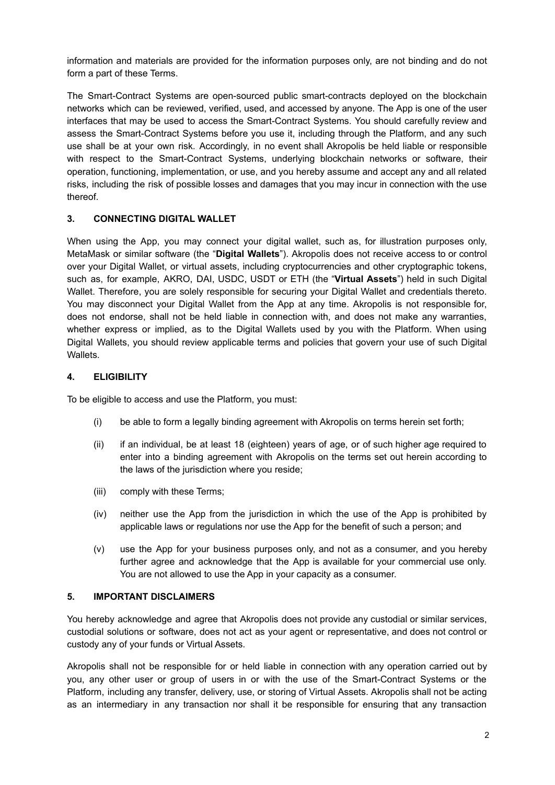information and materials are provided for the information purposes only, are not binding and do not form a part of these Terms.

The Smart-Contract Systems are open-sourced public smart-contracts deployed on the blockchain networks which can be reviewed, verified, used, and accessed by anyone. The App is one of the user interfaces that may be used to access the Smart-Contract Systems. You should carefully review and assess the Smart-Contract Systems before you use it, including through the Platform, and any such use shall be at your own risk. Accordingly, in no event shall Akropolis be held liable or responsible with respect to the Smart-Contract Systems, underlying blockchain networks or software, their operation, functioning, implementation, or use, and you hereby assume and accept any and all related risks, including the risk of possible losses and damages that you may incur in connection with the use thereof.

# **3. CONNECTING DIGITAL WALLET**

When using the App, you may connect your digital wallet, such as, for illustration purposes only, MetaMask or similar software (the "**Digital Wallets**"). Akropolis does not receive access to or control over your Digital Wallet, or virtual assets, including cryptocurrencies and other cryptographic tokens, such as, for example, AKRO, DAI, USDC, USDT or ETH (the "**Virtual Assets**") held in such Digital Wallet. Therefore, you are solely responsible for securing your Digital Wallet and credentials thereto. You may disconnect your Digital Wallet from the App at any time. Akropolis is not responsible for, does not endorse, shall not be held liable in connection with, and does not make any warranties, whether express or implied, as to the Digital Wallets used by you with the Platform. When using Digital Wallets, you should review applicable terms and policies that govern your use of such Digital Wallets.

#### **4. ELIGIBILITY**

To be eligible to access and use the Platform, you must:

- (i) be able to form a legally binding agreement with Akropolis on terms herein set forth;
- (ii) if an individual, be at least 18 (eighteen) years of age, or of such higher age required to enter into a binding agreement with Akropolis on the terms set out herein according to the laws of the jurisdiction where you reside;
- (iii) comply with these Terms;
- (iv) neither use the App from the jurisdiction in which the use of the App is prohibited by applicable laws or regulations nor use the App for the benefit of such a person; and
- (v) use the App for your business purposes only, and not as a consumer, and you hereby further agree and acknowledge that the App is available for your commercial use only. You are not allowed to use the App in your capacity as a consumer.

#### **5. IMPORTANT DISCLAIMERS**

You hereby acknowledge and agree that Akropolis does not provide any custodial or similar services, custodial solutions or software, does not act as your agent or representative, and does not control or custody any of your funds or Virtual Assets.

Akropolis shall not be responsible for or held liable in connection with any operation carried out by you, any other user or group of users in or with the use of the Smart-Contract Systems or the Platform, including any transfer, delivery, use, or storing of Virtual Assets. Akropolis shall not be acting as an intermediary in any transaction nor shall it be responsible for ensuring that any transaction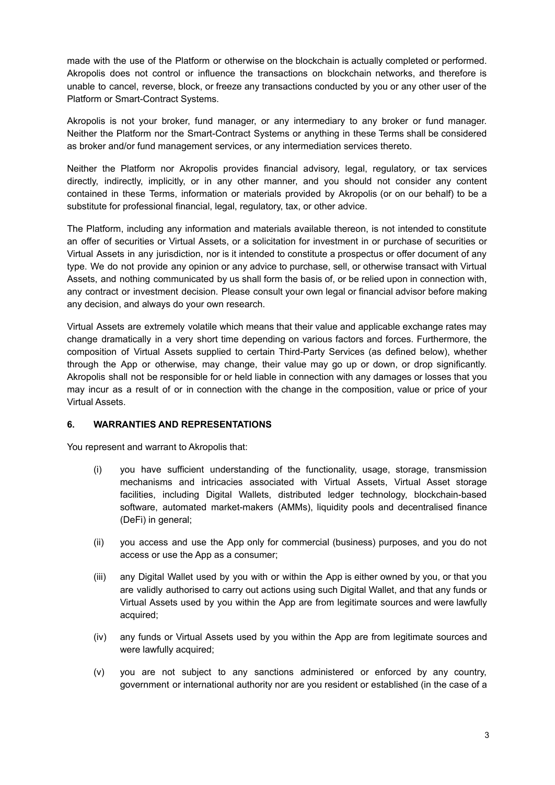made with the use of the Platform or otherwise on the blockchain is actually completed or performed. Akropolis does not control or influence the transactions on blockchain networks, and therefore is unable to cancel, reverse, block, or freeze any transactions conducted by you or any other user of the Platform or Smart-Contract Systems.

Akropolis is not your broker, fund manager, or any intermediary to any broker or fund manager. Neither the Platform nor the Smart-Contract Systems or anything in these Terms shall be considered as broker and/or fund management services, or any intermediation services thereto.

Neither the Platform nor Akropolis provides financial advisory, legal, regulatory, or tax services directly, indirectly, implicitly, or in any other manner, and you should not consider any content contained in these Terms, information or materials provided by Akropolis (or on our behalf) to be a substitute for professional financial, legal, regulatory, tax, or other advice.

The Platform, including any information and materials available thereon, is not intended to constitute an offer of securities or Virtual Assets, or a solicitation for investment in or purchase of securities or Virtual Assets in any jurisdiction, nor is it intended to constitute a prospectus or offer document of any type. We do not provide any opinion or any advice to purchase, sell, or otherwise transact with Virtual Assets, and nothing communicated by us shall form the basis of, or be relied upon in connection with, any contract or investment decision. Please consult your own legal or financial advisor before making any decision, and always do your own research.

Virtual Assets are extremely volatile which means that their value and applicable exchange rates may change dramatically in a very short time depending on various factors and forces. Furthermore, the composition of Virtual Assets supplied to certain Third-Party Services (as defined below), whether through the App or otherwise, may change, their value may go up or down, or drop significantly. Akropolis shall not be responsible for or held liable in connection with any damages or losses that you may incur as a result of or in connection with the change in the composition, value or price of your Virtual Assets.

#### **6. WARRANTIES AND REPRESENTATIONS**

You represent and warrant to Akropolis that:

- (i) you have sufficient understanding of the functionality, usage, storage, transmission mechanisms and intricacies associated with Virtual Assets, Virtual Asset storage facilities, including Digital Wallets, distributed ledger technology, blockchain-based software, automated market-makers (AMMs), liquidity pools and decentralised finance (DeFi) in general;
- (ii) you access and use the App only for commercial (business) purposes, and you do not access or use the App as a consumer;
- (iii) any Digital Wallet used by you with or within the App is either owned by you, or that you are validly authorised to carry out actions using such Digital Wallet, and that any funds or Virtual Assets used by you within the App are from legitimate sources and were lawfully acquired;
- (iv) any funds or Virtual Assets used by you within the App are from legitimate sources and were lawfully acquired:
- (v) you are not subject to any sanctions administered or enforced by any country, government or international authority nor are you resident or established (in the case of a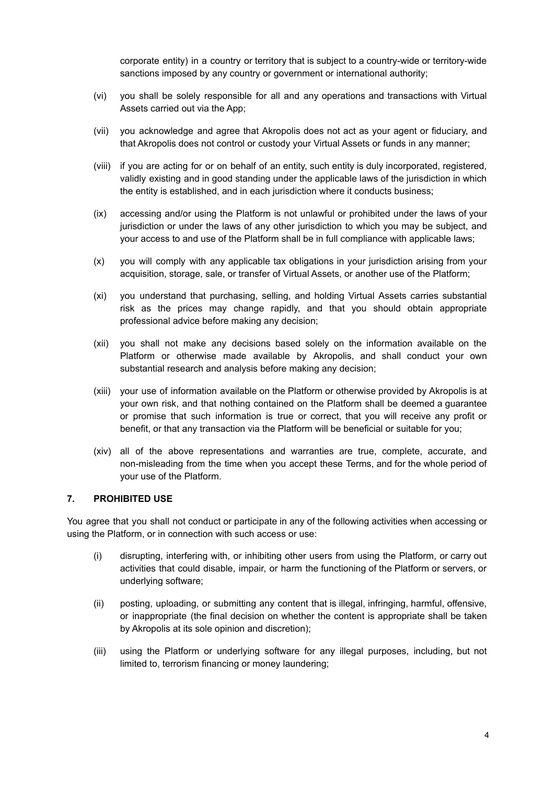corporate entity) in a country or territory that is subject to a country-wide or territory-wide sanctions imposed by any country or government or international authority;

- (vi) you shall be solely responsible for all and any operations and transactions with Virtual Assets carried out via the App;
- (vii) you acknowledge and agree that Akropolis does not act as your agent or fiduciary, and that Akropolis does not control or custody your Virtual Assets or funds in any manner;
- (viii) if you are acting for or on behalf of an entity, such entity is duly incorporated, registered, validly existing and in good standing under the applicable laws of the jurisdiction in which the entity is established, and in each jurisdiction where it conducts business;
- (ix) accessing and/or using the Platform is not unlawful or prohibited under the laws of your jurisdiction or under the laws of any other jurisdiction to which you may be subject, and your access to and use of the Platform shall be in full compliance with applicable laws;
- (x) you will comply with any applicable tax obligations in your jurisdiction arising from your acquisition, storage, sale, or transfer of Virtual Assets, or another use of the Platform;
- (xi) you understand that purchasing, selling, and holding Virtual Assets carries substantial risk as the prices may change rapidly, and that you should obtain appropriate professional advice before making any decision;
- (xii) you shall not make any decisions based solely on the information available on the Platform or otherwise made available by Akropolis, and shall conduct your own substantial research and analysis before making any decision;
- (xiii) your use of information available on the Platform or otherwise provided by Akropolis is at your own risk, and that nothing contained on the Platform shall be deemed a guarantee or promise that such information is true or correct, that you will receive any profit or benefit, or that any transaction via the Platform will be beneficial or suitable for you;
- (xiv) all of the above representations and warranties are true, complete, accurate, and non-misleading from the time when you accept these Terms, and for the whole period of your use of the Platform.

#### **7. PROHIBITED USE**

You agree that you shall not conduct or participate in any of the following activities when accessing or using the Platform, or in connection with such access or use:

- (i) disrupting, interfering with, or inhibiting other users from using the Platform, or carry out activities that could disable, impair, or harm the functioning of the Platform or servers, or underlying software;
- (ii) posting, uploading, or submitting any content that is illegal, infringing, harmful, offensive, or inappropriate (the final decision on whether the content is appropriate shall be taken by Akropolis at its sole opinion and discretion);
- (iii) using the Platform or underlying software for any illegal purposes, including, but not limited to, terrorism financing or money laundering;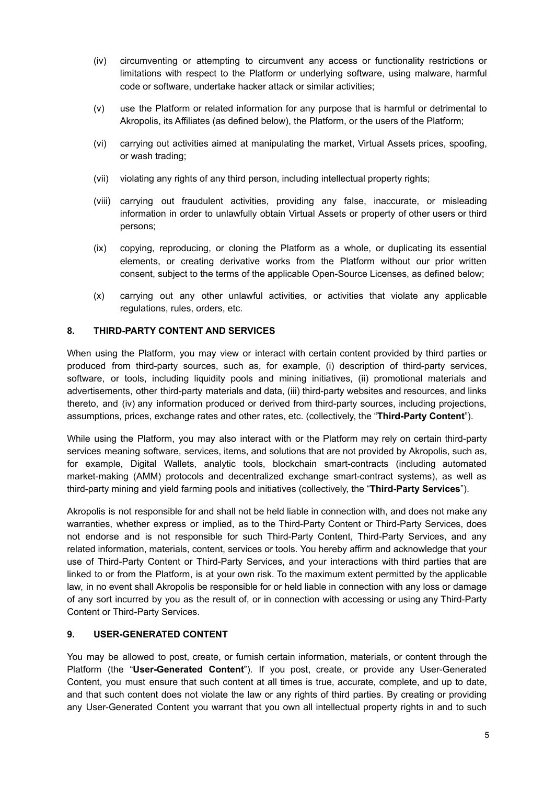- (iv) circumventing or attempting to circumvent any access or functionality restrictions or limitations with respect to the Platform or underlying software, using malware, harmful code or software, undertake hacker attack or similar activities;
- (v) use the Platform or related information for any purpose that is harmful or detrimental to Akropolis, its Affiliates (as defined below), the Platform, or the users of the Platform;
- (vi) carrying out activities aimed at manipulating the market, Virtual Assets prices, spoofing, or wash trading;
- (vii) violating any rights of any third person, including intellectual property rights;
- (viii) carrying out fraudulent activities, providing any false, inaccurate, or misleading information in order to unlawfully obtain Virtual Assets or property of other users or third persons;
- (ix) copying, reproducing, or cloning the Platform as a whole, or duplicating its essential elements, or creating derivative works from the Platform without our prior written consent, subject to the terms of the applicable Open-Source Licenses, as defined below;
- (x) carrying out any other unlawful activities, or activities that violate any applicable regulations, rules, orders, etc.

#### **8. THIRD-PARTY CONTENT AND SERVICES**

When using the Platform, you may view or interact with certain content provided by third parties or produced from third-party sources, such as, for example, (i) description of third-party services, software, or tools, including liquidity pools and mining initiatives, (ii) promotional materials and advertisements, other third-party materials and data, (iii) third-party websites and resources, and links thereto, and (iv) any information produced or derived from third-party sources, including projections, assumptions, prices, exchange rates and other rates, etc. (collectively, the "**Third-Party Content**").

While using the Platform, you may also interact with or the Platform may rely on certain third-party services meaning software, services, items, and solutions that are not provided by Akropolis, such as, for example, Digital Wallets, analytic tools, blockchain smart-contracts (including automated market-making (AMM) protocols and decentralized exchange smart-contract systems), as well as third-party mining and yield farming pools and initiatives (collectively, the "**Third-Party Services**").

Akropolis is not responsible for and shall not be held liable in connection with, and does not make any warranties, whether express or implied, as to the Third-Party Content or Third-Party Services, does not endorse and is not responsible for such Third-Party Content, Third-Party Services, and any related information, materials, content, services or tools. You hereby affirm and acknowledge that your use of Third-Party Content or Third-Party Services, and your interactions with third parties that are linked to or from the Platform, is at your own risk. To the maximum extent permitted by the applicable law, in no event shall Akropolis be responsible for or held liable in connection with any loss or damage of any sort incurred by you as the result of, or in connection with accessing or using any Third-Party Content or Third-Party Services.

#### **9. USER-GENERATED CONTENT**

You may be allowed to post, create, or furnish certain information, materials, or content through the Platform (the "**User-Generated Content**"). If you post, create, or provide any User-Generated Content, you must ensure that such content at all times is true, accurate, complete, and up to date, and that such content does not violate the law or any rights of third parties. By creating or providing any User-Generated Content you warrant that you own all intellectual property rights in and to such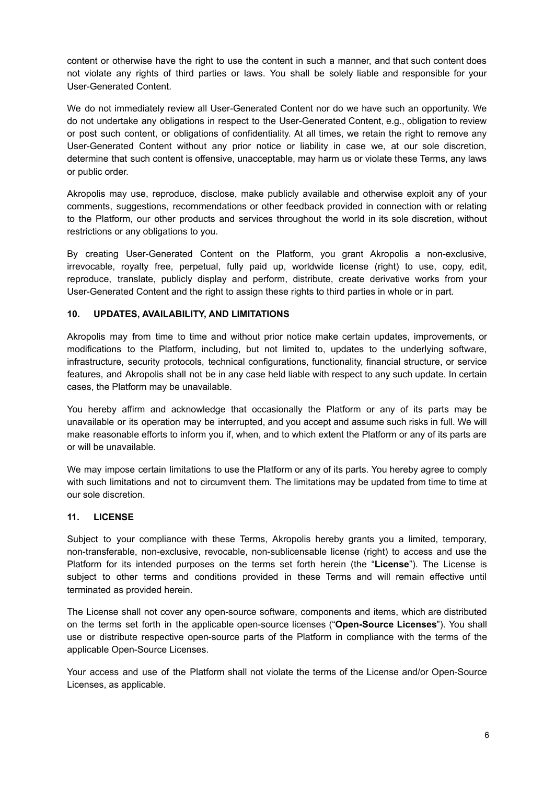content or otherwise have the right to use the content in such a manner, and that such content does not violate any rights of third parties or laws. You shall be solely liable and responsible for your User-Generated Content.

We do not immediately review all User-Generated Content nor do we have such an opportunity. We do not undertake any obligations in respect to the User-Generated Content, e.g., obligation to review or post such content, or obligations of confidentiality. At all times, we retain the right to remove any User-Generated Content without any prior notice or liability in case we, at our sole discretion, determine that such content is offensive, unacceptable, may harm us or violate these Terms, any laws or public order.

Akropolis may use, reproduce, disclose, make publicly available and otherwise exploit any of your comments, suggestions, recommendations or other feedback provided in connection with or relating to the Platform, our other products and services throughout the world in its sole discretion, without restrictions or any obligations to you.

By creating User-Generated Content on the Platform, you grant Akropolis a non-exclusive, irrevocable, royalty free, perpetual, fully paid up, worldwide license (right) to use, copy, edit, reproduce, translate, publicly display and perform, distribute, create derivative works from your User-Generated Content and the right to assign these rights to third parties in whole or in part.

#### **10. UPDATES, AVAILABILITY, AND LIMITATIONS**

Akropolis may from time to time and without prior notice make certain updates, improvements, or modifications to the Platform, including, but not limited to, updates to the underlying software, infrastructure, security protocols, technical configurations, functionality, financial structure, or service features, and Akropolis shall not be in any case held liable with respect to any such update. In certain cases, the Platform may be unavailable.

You hereby affirm and acknowledge that occasionally the Platform or any of its parts may be unavailable or its operation may be interrupted, and you accept and assume such risks in full. We will make reasonable efforts to inform you if, when, and to which extent the Platform or any of its parts are or will be unavailable.

We may impose certain limitations to use the Platform or any of its parts. You hereby agree to comply with such limitations and not to circumvent them. The limitations may be updated from time to time at our sole discretion.

#### **11. LICENSE**

Subject to your compliance with these Terms, Akropolis hereby grants you a limited, temporary, non-transferable, non-exclusive, revocable, non-sublicensable license (right) to access and use the Platform for its intended purposes on the terms set forth herein (the "**License**"). The License is subject to other terms and conditions provided in these Terms and will remain effective until terminated as provided herein.

The License shall not cover any open-source software, components and items, which are distributed on the terms set forth in the applicable open-source licenses ("**Open-Source Licenses**"). You shall use or distribute respective open-source parts of the Platform in compliance with the terms of the applicable Open-Source Licenses.

Your access and use of the Platform shall not violate the terms of the License and/or Open-Source Licenses, as applicable.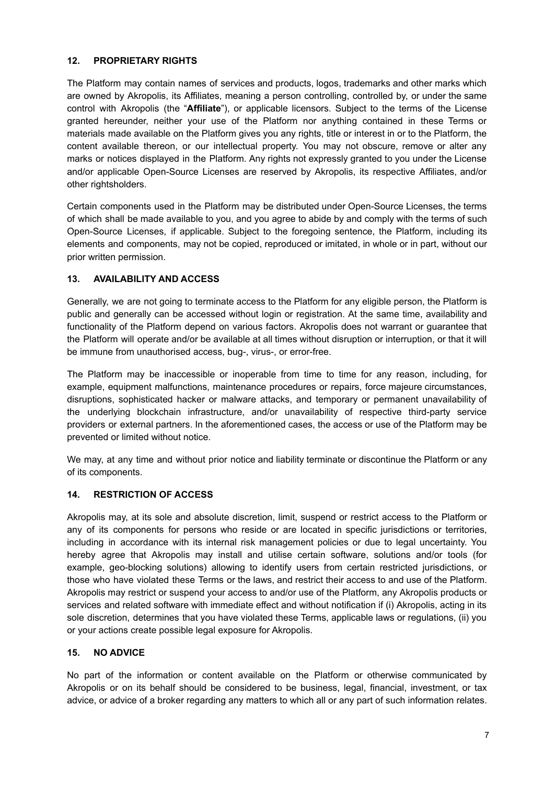## **12. PROPRIETARY RIGHTS**

The Platform may contain names of services and products, logos, trademarks and other marks which are owned by Akropolis, its Affiliates, meaning a person controlling, controlled by, or under the same control with Akropolis (the "**Affiliate**"), or applicable licensors. Subject to the terms of the License granted hereunder, neither your use of the Platform nor anything contained in these Terms or materials made available on the Platform gives you any rights, title or interest in or to the Platform, the content available thereon, or our intellectual property. You may not obscure, remove or alter any marks or notices displayed in the Platform. Any rights not expressly granted to you under the License and/or applicable Open-Source Licenses are reserved by Akropolis, its respective Affiliates, and/or other rightsholders.

Certain components used in the Platform may be distributed under Open-Source Licenses, the terms of which shall be made available to you, and you agree to abide by and comply with the terms of such Open-Source Licenses, if applicable. Subject to the foregoing sentence, the Platform, including its elements and components, may not be copied, reproduced or imitated, in whole or in part, without our prior written permission.

## **13. AVAILABILITY AND ACCESS**

Generally, we are not going to terminate access to the Platform for any eligible person, the Platform is public and generally can be accessed without login or registration. At the same time, availability and functionality of the Platform depend on various factors. Akropolis does not warrant or guarantee that the Platform will operate and/or be available at all times without disruption or interruption, or that it will be immune from unauthorised access, bug-, virus-, or error-free.

The Platform may be inaccessible or inoperable from time to time for any reason, including, for example, equipment malfunctions, maintenance procedures or repairs, force majeure circumstances, disruptions, sophisticated hacker or malware attacks, and temporary or permanent unavailability of the underlying blockchain infrastructure, and/or unavailability of respective third-party service providers or external partners. In the aforementioned cases, the access or use of the Platform may be prevented or limited without notice.

We may, at any time and without prior notice and liability terminate or discontinue the Platform or any of its components.

#### **14. RESTRICTION OF ACCESS**

Akropolis may, at its sole and absolute discretion, limit, suspend or restrict access to the Platform or any of its components for persons who reside or are located in specific jurisdictions or territories, including in accordance with its internal risk management policies or due to legal uncertainty. You hereby agree that Akropolis may install and utilise certain software, solutions and/or tools (for example, geo-blocking solutions) allowing to identify users from certain restricted jurisdictions, or those who have violated these Terms or the laws, and restrict their access to and use of the Platform. Akropolis may restrict or suspend your access to and/or use of the Platform, any Akropolis products or services and related software with immediate effect and without notification if (i) Akropolis, acting in its sole discretion, determines that you have violated these Terms, applicable laws or regulations, (ii) you or your actions create possible legal exposure for Akropolis.

# **15. NO ADVICE**

No part of the information or content available on the Platform or otherwise communicated by Akropolis or on its behalf should be considered to be business, legal, financial, investment, or tax advice, or advice of a broker regarding any matters to which all or any part of such information relates.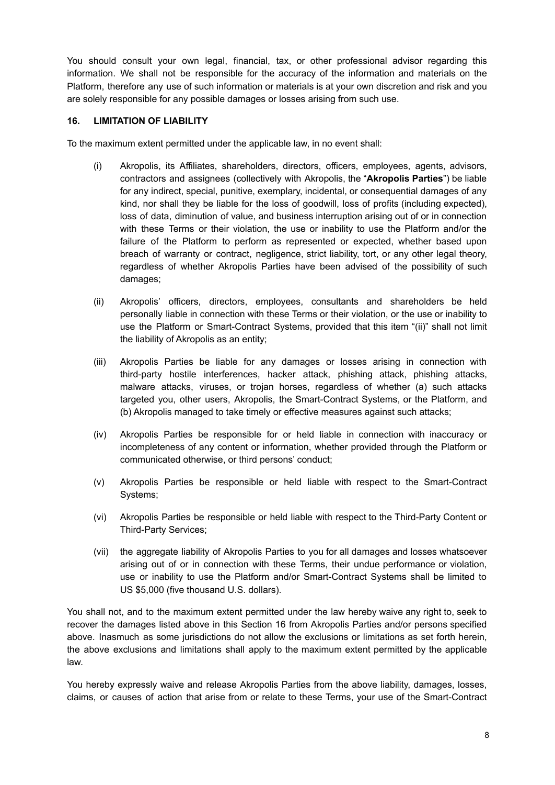You should consult your own legal, financial, tax, or other professional advisor regarding this information. We shall not be responsible for the accuracy of the information and materials on the Platform, therefore any use of such information or materials is at your own discretion and risk and you are solely responsible for any possible damages or losses arising from such use.

#### **16. LIMITATION OF LIABILITY**

To the maximum extent permitted under the applicable law, in no event shall:

- (i) Akropolis, its Affiliates, shareholders, directors, officers, employees, agents, advisors, contractors and assignees (collectively with Akropolis, the "**Akropolis Parties**") be liable for any indirect, special, punitive, exemplary, incidental, or consequential damages of any kind, nor shall they be liable for the loss of goodwill, loss of profits (including expected), loss of data, diminution of value, and business interruption arising out of or in connection with these Terms or their violation, the use or inability to use the Platform and/or the failure of the Platform to perform as represented or expected, whether based upon breach of warranty or contract, negligence, strict liability, tort, or any other legal theory, regardless of whether Akropolis Parties have been advised of the possibility of such damages;
- (ii) Akropolis' officers, directors, employees, consultants and shareholders be held personally liable in connection with these Terms or their violation, or the use or inability to use the Platform or Smart-Contract Systems, provided that this item "(ii)" shall not limit the liability of Akropolis as an entity;
- (iii) Akropolis Parties be liable for any damages or losses arising in connection with third-party hostile interferences, hacker attack, phishing attack, phishing attacks, malware attacks, viruses, or trojan horses, regardless of whether (a) such attacks targeted you, other users, Akropolis, the Smart-Contract Systems, or the Platform, and (b) Akropolis managed to take timely or effective measures against such attacks;
- (iv) Akropolis Parties be responsible for or held liable in connection with inaccuracy or incompleteness of any content or information, whether provided through the Platform or communicated otherwise, or third persons' conduct;
- (v) Akropolis Parties be responsible or held liable with respect to the Smart-Contract Systems;
- (vi) Akropolis Parties be responsible or held liable with respect to the Third-Party Content or Third-Party Services;
- (vii) the aggregate liability of Akropolis Parties to you for all damages and losses whatsoever arising out of or in connection with these Terms, their undue performance or violation, use or inability to use the Platform and/or Smart-Contract Systems shall be limited to US \$5,000 (five thousand U.S. dollars).

You shall not, and to the maximum extent permitted under the law hereby waive any right to, seek to recover the damages listed above in this Section 16 from Akropolis Parties and/or persons specified above. Inasmuch as some jurisdictions do not allow the exclusions or limitations as set forth herein, the above exclusions and limitations shall apply to the maximum extent permitted by the applicable law.

You hereby expressly waive and release Akropolis Parties from the above liability, damages, losses, claims, or causes of action that arise from or relate to these Terms, your use of the Smart-Contract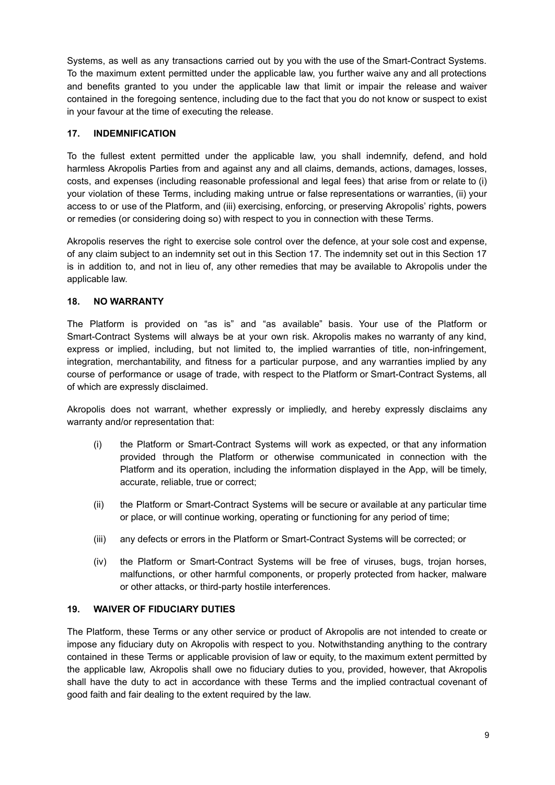Systems, as well as any transactions carried out by you with the use of the Smart-Contract Systems. To the maximum extent permitted under the applicable law, you further waive any and all protections and benefits granted to you under the applicable law that limit or impair the release and waiver contained in the foregoing sentence, including due to the fact that you do not know or suspect to exist in your favour at the time of executing the release.

## **17. INDEMNIFICATION**

To the fullest extent permitted under the applicable law, you shall indemnify, defend, and hold harmless Akropolis Parties from and against any and all claims, demands, actions, damages, losses, costs, and expenses (including reasonable professional and legal fees) that arise from or relate to (i) your violation of these Terms, including making untrue or false representations or warranties, (ii) your access to or use of the Platform, and (iii) exercising, enforcing, or preserving Akropolis' rights, powers or remedies (or considering doing so) with respect to you in connection with these Terms.

Akropolis reserves the right to exercise sole control over the defence, at your sole cost and expense, of any claim subject to an indemnity set out in this Section 17. The indemnity set out in this Section 17 is in addition to, and not in lieu of, any other remedies that may be available to Akropolis under the applicable law.

## **18. NO WARRANTY**

The Platform is provided on "as is" and "as available" basis. Your use of the Platform or Smart-Contract Systems will always be at your own risk. Akropolis makes no warranty of any kind, express or implied, including, but not limited to, the implied warranties of title, non-infringement, integration, merchantability, and fitness for a particular purpose, and any warranties implied by any course of performance or usage of trade, with respect to the Platform or Smart-Contract Systems, all of which are expressly disclaimed.

Akropolis does not warrant, whether expressly or impliedly, and hereby expressly disclaims any warranty and/or representation that:

- (i) the Platform or Smart-Contract Systems will work as expected, or that any information provided through the Platform or otherwise communicated in connection with the Platform and its operation, including the information displayed in the App, will be timely, accurate, reliable, true or correct;
- (ii) the Platform or Smart-Contract Systems will be secure or available at any particular time or place, or will continue working, operating or functioning for any period of time;
- (iii) any defects or errors in the Platform or Smart-Contract Systems will be corrected; or
- (iv) the Platform or Smart-Contract Systems will be free of viruses, bugs, trojan horses, malfunctions, or other harmful components, or properly protected from hacker, malware or other attacks, or third-party hostile interferences.

#### **19. WAIVER OF FIDUCIARY DUTIES**

The Platform, these Terms or any other service or product of Akropolis are not intended to create or impose any fiduciary duty on Akropolis with respect to you. Notwithstanding anything to the contrary contained in these Terms or applicable provision of law or equity, to the maximum extent permitted by the applicable law, Akropolis shall owe no fiduciary duties to you, provided, however, that Akropolis shall have the duty to act in accordance with these Terms and the implied contractual covenant of good faith and fair dealing to the extent required by the law.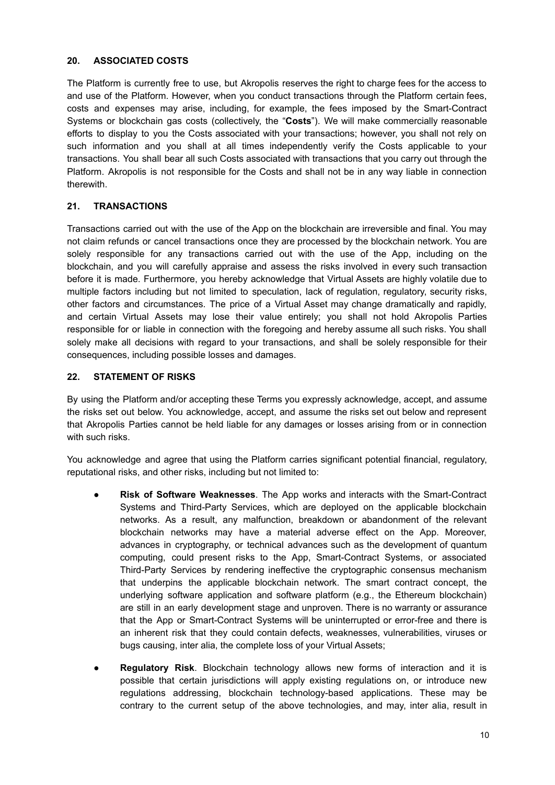#### **20. ASSOCIATED COSTS**

The Platform is currently free to use, but Akropolis reserves the right to charge fees for the access to and use of the Platform. However, when you conduct transactions through the Platform certain fees, costs and expenses may arise, including, for example, the fees imposed by the Smart-Contract Systems or blockchain gas costs (collectively, the "**Costs**"). We will make commercially reasonable efforts to display to you the Costs associated with your transactions; however, you shall not rely on such information and you shall at all times independently verify the Costs applicable to your transactions. You shall bear all such Costs associated with transactions that you carry out through the Platform. Akropolis is not responsible for the Costs and shall not be in any way liable in connection therewith.

# **21. TRANSACTIONS**

Transactions carried out with the use of the App on the blockchain are irreversible and final. You may not claim refunds or cancel transactions once they are processed by the blockchain network. You are solely responsible for any transactions carried out with the use of the App, including on the blockchain, and you will carefully appraise and assess the risks involved in every such transaction before it is made. Furthermore, you hereby acknowledge that Virtual Assets are highly volatile due to multiple factors including but not limited to speculation, lack of regulation, regulatory, security risks, other factors and circumstances. The price of a Virtual Asset may change dramatically and rapidly, and certain Virtual Assets may lose their value entirely; you shall not hold Akropolis Parties responsible for or liable in connection with the foregoing and hereby assume all such risks. You shall solely make all decisions with regard to your transactions, and shall be solely responsible for their consequences, including possible losses and damages.

## **22. STATEMENT OF RISKS**

By using the Platform and/or accepting these Terms you expressly acknowledge, accept, and assume the risks set out below. You acknowledge, accept, and assume the risks set out below and represent that Akropolis Parties cannot be held liable for any damages or losses arising from or in connection with such risks.

You acknowledge and agree that using the Platform carries significant potential financial, regulatory, reputational risks, and other risks, including but not limited to:

- **Risk of Software Weaknesses**. The App works and interacts with the Smart-Contract Systems and Third-Party Services, which are deployed on the applicable blockchain networks. As a result, any malfunction, breakdown or abandonment of the relevant blockchain networks may have a material adverse effect on the App. Moreover, advances in cryptography, or technical advances such as the development of quantum computing, could present risks to the App, Smart-Contract Systems, or associated Third-Party Services by rendering ineffective the cryptographic consensus mechanism that underpins the applicable blockchain network. The smart contract concept, the underlying software application and software platform (e.g., the Ethereum blockchain) are still in an early development stage and unproven. There is no warranty or assurance that the App or Smart-Contract Systems will be uninterrupted or error-free and there is an inherent risk that they could contain defects, weaknesses, vulnerabilities, viruses or bugs causing, inter alia, the complete loss of your Virtual Assets;
- **Regulatory Risk**. Blockchain technology allows new forms of interaction and it is possible that certain jurisdictions will apply existing regulations on, or introduce new regulations addressing, blockchain technology-based applications. These may be contrary to the current setup of the above technologies, and may, inter alia, result in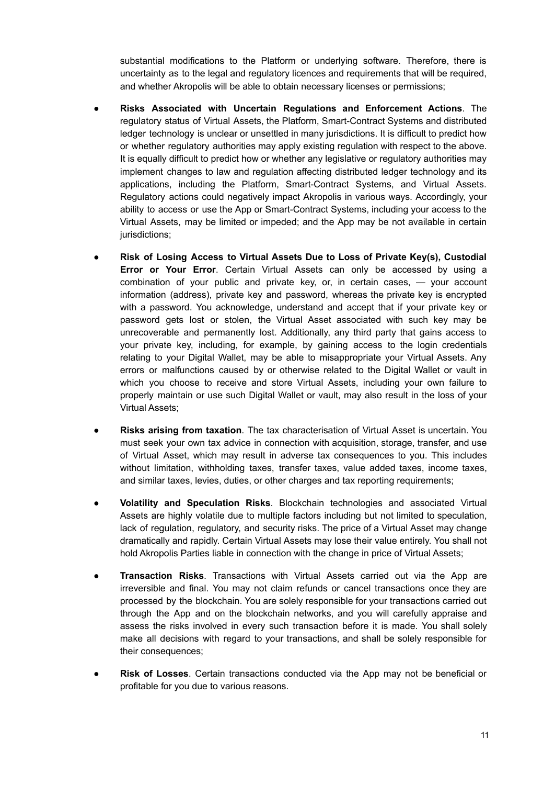substantial modifications to the Platform or underlying software. Therefore, there is uncertainty as to the legal and regulatory licences and requirements that will be required, and whether Akropolis will be able to obtain necessary licenses or permissions;

- **Risks Associated with Uncertain Regulations and Enforcement Actions**. The regulatory status of Virtual Assets, the Platform, Smart-Contract Systems and distributed ledger technology is unclear or unsettled in many jurisdictions. It is difficult to predict how or whether regulatory authorities may apply existing regulation with respect to the above. It is equally difficult to predict how or whether any legislative or regulatory authorities may implement changes to law and regulation affecting distributed ledger technology and its applications, including the Platform, Smart-Contract Systems, and Virtual Assets. Regulatory actions could negatively impact Akropolis in various ways. Accordingly, your ability to access or use the App or Smart-Contract Systems, including your access to the Virtual Assets, may be limited or impeded; and the App may be not available in certain jurisdictions;
- **Risk of Losing Access to Virtual Assets Due to Loss of Private Key(s), Custodial Error or Your Error**. Certain Virtual Assets can only be accessed by using a combination of your public and private key, or, in certain cases, — your account information (address), private key and password, whereas the private key is encrypted with a password. You acknowledge, understand and accept that if your private key or password gets lost or stolen, the Virtual Asset associated with such key may be unrecoverable and permanently lost. Additionally, any third party that gains access to your private key, including, for example, by gaining access to the login credentials relating to your Digital Wallet, may be able to misappropriate your Virtual Assets. Any errors or malfunctions caused by or otherwise related to the Digital Wallet or vault in which you choose to receive and store Virtual Assets, including your own failure to properly maintain or use such Digital Wallet or vault, may also result in the loss of your Virtual Assets;
- **Risks arising from taxation**. The tax characterisation of Virtual Asset is uncertain. You must seek your own tax advice in connection with acquisition, storage, transfer, and use of Virtual Asset, which may result in adverse tax consequences to you. This includes without limitation, withholding taxes, transfer taxes, value added taxes, income taxes, and similar taxes, levies, duties, or other charges and tax reporting requirements;
- **Volatility and Speculation Risks**. Blockchain technologies and associated Virtual Assets are highly volatile due to multiple factors including but not limited to speculation, lack of regulation, regulatory, and security risks. The price of a Virtual Asset may change dramatically and rapidly. Certain Virtual Assets may lose their value entirely. You shall not hold Akropolis Parties liable in connection with the change in price of Virtual Assets;
- **Transaction Risks**. Transactions with Virtual Assets carried out via the App are irreversible and final. You may not claim refunds or cancel transactions once they are processed by the blockchain. You are solely responsible for your transactions carried out through the App and on the blockchain networks, and you will carefully appraise and assess the risks involved in every such transaction before it is made. You shall solely make all decisions with regard to your transactions, and shall be solely responsible for their consequences:
- **Risk of Losses**. Certain transactions conducted via the App may not be beneficial or profitable for you due to various reasons.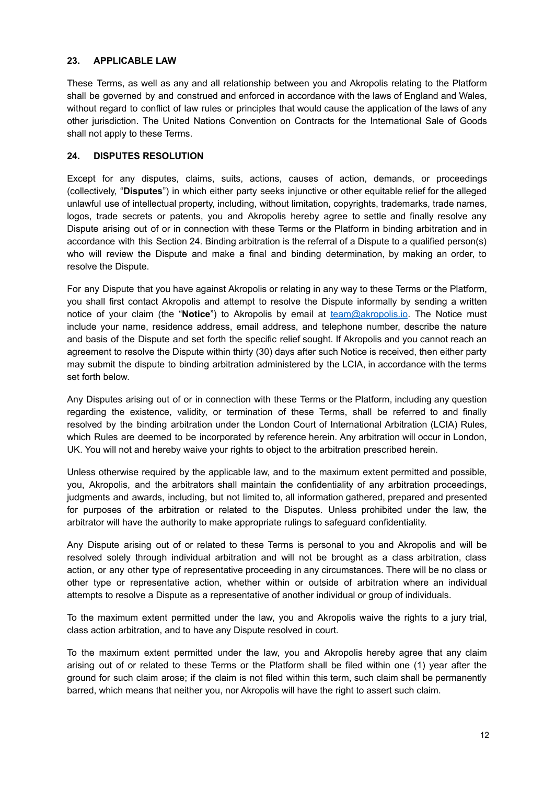#### **23. APPLICABLE LAW**

These Terms, as well as any and all relationship between you and Akropolis relating to the Platform shall be governed by and construed and enforced in accordance with the laws of England and Wales, without regard to conflict of law rules or principles that would cause the application of the laws of any other jurisdiction. The United Nations Convention on Contracts for the International Sale of Goods shall not apply to these Terms.

## **24. DISPUTES RESOLUTION**

Except for any disputes, claims, suits, actions, causes of action, demands, or proceedings (collectively, "**Disputes**") in which either party seeks injunctive or other equitable relief for the alleged unlawful use of intellectual property, including, without limitation, copyrights, trademarks, trade names, logos, trade secrets or patents, you and Akropolis hereby agree to settle and finally resolve any Dispute arising out of or in connection with these Terms or the Platform in binding arbitration and in accordance with this Section 24. Binding arbitration is the referral of a Dispute to a qualified person(s) who will review the Dispute and make a final and binding determination, by making an order, to resolve the Dispute.

For any Dispute that you have against Akropolis or relating in any way to these Terms or the Platform, you shall first contact Akropolis and attempt to resolve the Dispute informally by sending a written notice of your claim (the "**Notice**") to Akropolis by email at [team@akropolis.io](mailto:team@akropolis.io). The Notice must include your name, residence address, email address, and telephone number, describe the nature and basis of the Dispute and set forth the specific relief sought. If Akropolis and you cannot reach an agreement to resolve the Dispute within thirty (30) days after such Notice is received, then either party may submit the dispute to binding arbitration administered by the LCIA, in accordance with the terms set forth below.

Any Disputes arising out of or in connection with these Terms or the Platform, including any question regarding the existence, validity, or termination of these Terms, shall be referred to and finally resolved by the binding arbitration under the London Court of International Arbitration (LCIA) Rules, which Rules are deemed to be incorporated by reference herein. Any arbitration will occur in London, UK. You will not and hereby waive your rights to object to the arbitration prescribed herein.

Unless otherwise required by the applicable law, and to the maximum extent permitted and possible, you, Akropolis, and the arbitrators shall maintain the confidentiality of any arbitration proceedings, judgments and awards, including, but not limited to, all information gathered, prepared and presented for purposes of the arbitration or related to the Disputes. Unless prohibited under the law, the arbitrator will have the authority to make appropriate rulings to safeguard confidentiality.

Any Dispute arising out of or related to these Terms is personal to you and Akropolis and will be resolved solely through individual arbitration and will not be brought as a class arbitration, class action, or any other type of representative proceeding in any circumstances. There will be no class or other type or representative action, whether within or outside of arbitration where an individual attempts to resolve a Dispute as a representative of another individual or group of individuals.

To the maximum extent permitted under the law, you and Akropolis waive the rights to a jury trial, class action arbitration, and to have any Dispute resolved in court.

To the maximum extent permitted under the law, you and Akropolis hereby agree that any claim arising out of or related to these Terms or the Platform shall be filed within one (1) year after the ground for such claim arose; if the claim is not filed within this term, such claim shall be permanently barred, which means that neither you, nor Akropolis will have the right to assert such claim.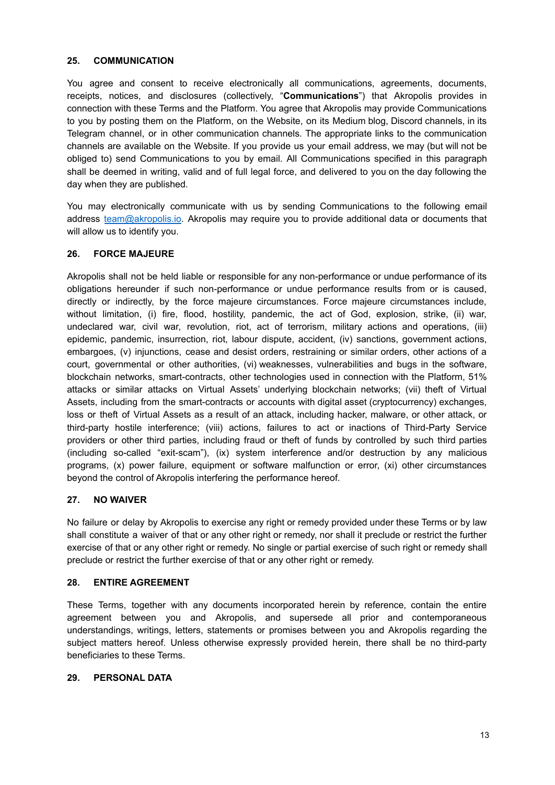#### **25. COMMUNICATION**

You agree and consent to receive electronically all communications, agreements, documents, receipts, notices, and disclosures (collectively, "**Communications**") that Akropolis provides in connection with these Terms and the Platform. You agree that Akropolis may provide Communications to you by posting them on the Platform, on the Website, on its Medium blog, Discord channels, in its Telegram channel, or in other communication channels. The appropriate links to the communication channels are available on the Website. If you provide us your email address, we may (but will not be obliged to) send Communications to you by email. All Communications specified in this paragraph shall be deemed in writing, valid and of full legal force, and delivered to you on the day following the day when they are published.

You may electronically communicate with us by sending Communications to the following email address [team@akropolis.io.](mailto:team@akropolis.io) Akropolis may require you to provide additional data or documents that will allow us to identify you.

# **26. FORCE MAJEURE**

Akropolis shall not be held liable or responsible for any non-performance or undue performance of its obligations hereunder if such non-performance or undue performance results from or is caused, directly or indirectly, by the force majeure circumstances. Force majeure circumstances include, without limitation, (i) fire, flood, hostility, pandemic, the act of God, explosion, strike, (ii) war, undeclared war, civil war, revolution, riot, act of terrorism, military actions and operations, (iii) epidemic, pandemic, insurrection, riot, labour dispute, accident, (iv) sanctions, government actions, embargoes, (v) injunctions, cease and desist orders, restraining or similar orders, other actions of a court, governmental or other authorities, (vi) weaknesses, vulnerabilities and bugs in the software, blockchain networks, smart-contracts, other technologies used in connection with the Platform, 51% attacks or similar attacks on Virtual Assets' underlying blockchain networks; (vii) theft of Virtual Assets, including from the smart-contracts or accounts with digital asset (cryptocurrency) exchanges, loss or theft of Virtual Assets as a result of an attack, including hacker, malware, or other attack, or third-party hostile interference; (viii) actions, failures to act or inactions of Third-Party Service providers or other third parties, including fraud or theft of funds by controlled by such third parties (including so-called "exit-scam"), (ix) system interference and/or destruction by any malicious programs, (x) power failure, equipment or software malfunction or error, (xi) other circumstances beyond the control of Akropolis interfering the performance hereof.

#### **27. NO WAIVER**

No failure or delay by Akropolis to exercise any right or remedy provided under these Terms or by law shall constitute a waiver of that or any other right or remedy, nor shall it preclude or restrict the further exercise of that or any other right or remedy. No single or partial exercise of such right or remedy shall preclude or restrict the further exercise of that or any other right or remedy.

#### **28. ENTIRE AGREEMENT**

These Terms, together with any documents incorporated herein by reference, contain the entire agreement between you and Akropolis, and supersede all prior and contemporaneous understandings, writings, letters, statements or promises between you and Akropolis regarding the subject matters hereof. Unless otherwise expressly provided herein, there shall be no third-party beneficiaries to these Terms.

#### **29. PERSONAL DATA**